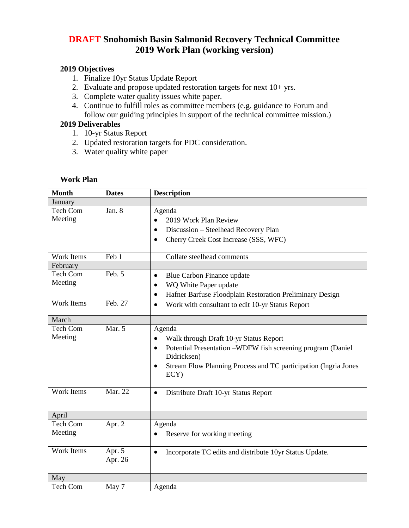## **DRAFT Snohomish Basin Salmonid Recovery Technical Committee 2019 Work Plan (working version)**

## **2019 Objectives**

- 1. Finalize 10yr Status Update Report
- 2. Evaluate and propose updated restoration targets for next 10+ yrs.
- 3. Complete water quality issues white paper.
- 4. Continue to fulfill roles as committee members (e.g. guidance to Forum and follow our guiding principles in support of the technical committee mission.)

## **2019 Deliverables**

- 1. 10-yr Status Report
- 2. Updated restoration targets for PDC consideration.
- 3. Water quality white paper

| <b>Month</b>      | <b>Dates</b>      | <b>Description</b>                                                                   |
|-------------------|-------------------|--------------------------------------------------------------------------------------|
| January           |                   |                                                                                      |
| Tech Com          | Jan. 8            | Agenda                                                                               |
| Meeting           |                   | 2019 Work Plan Review                                                                |
|                   |                   | Discussion - Steelhead Recovery Plan<br>$\bullet$                                    |
|                   |                   | Cherry Creek Cost Increase (SSS, WFC)<br>$\bullet$                                   |
| Work Items        | Feb 1             | Collate steelhead comments                                                           |
| February          |                   |                                                                                      |
| Tech Com          | Feb. 5            | Blue Carbon Finance update<br>$\bullet$                                              |
| Meeting           |                   | WQ White Paper update<br>$\bullet$                                                   |
|                   |                   | Hafner Barfuse Floodplain Restoration Preliminary Design<br>$\bullet$                |
| <b>Work Items</b> | Feb. 27           | Work with consultant to edit 10-yr Status Report<br>$\bullet$                        |
| March             |                   |                                                                                      |
| <b>Tech Com</b>   | Mar. 5            | Agenda                                                                               |
| Meeting           |                   | Walk through Draft 10-yr Status Report                                               |
|                   |                   | Potential Presentation -WDFW fish screening program (Daniel<br>$\bullet$             |
|                   |                   | Didricksen)                                                                          |
|                   |                   | Stream Flow Planning Process and TC participation (Ingria Jones<br>$\bullet$<br>ECY) |
| <b>Work Items</b> | Mar. 22           | Distribute Draft 10-yr Status Report<br>$\bullet$                                    |
|                   |                   |                                                                                      |
| April             |                   |                                                                                      |
| Tech Com          | Apr. 2            | Agenda                                                                               |
| Meeting           |                   | Reserve for working meeting                                                          |
| Work Items        | Apr. 5<br>Apr. 26 | Incorporate TC edits and distribute 10yr Status Update.<br>$\bullet$                 |
|                   |                   |                                                                                      |
| May               |                   |                                                                                      |
| <b>Tech Com</b>   | May 7             | Agenda                                                                               |

## **Work Plan**